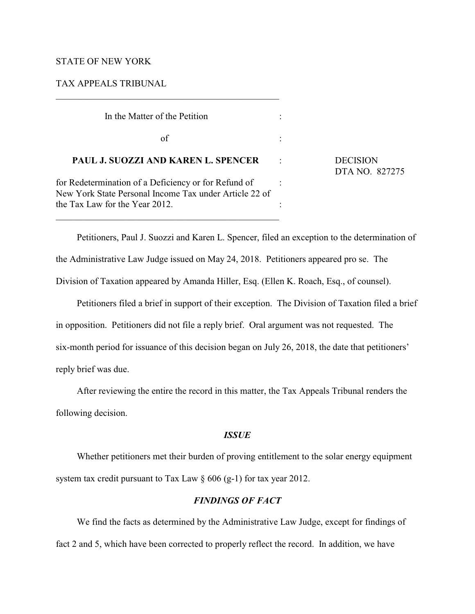### STATE OF NEW YORK

### TAX APPEALS TRIBUNAL

| In the Matter of the Petition                                                                                  |                                   |
|----------------------------------------------------------------------------------------------------------------|-----------------------------------|
| of                                                                                                             |                                   |
| PAUL J. SUOZZI AND KAREN L. SPENCER                                                                            | <b>DECISION</b><br>DTA NO. 827275 |
| for Redetermination of a Deficiency or for Refund of<br>New York State Personal Income Tax under Article 22 of |                                   |
| the Tax Law for the Year 2012.                                                                                 |                                   |

Petitioners, Paul J. Suozzi and Karen L. Spencer, filed an exception to the determination of the Administrative Law Judge issued on May 24, 2018. Petitioners appeared pro se. The Division of Taxation appeared by Amanda Hiller, Esq. (Ellen K. Roach, Esq., of counsel).

Petitioners filed a brief in support of their exception. The Division of Taxation filed a brief in opposition. Petitioners did not file a reply brief. Oral argument was not requested. The six-month period for issuance of this decision began on July 26, 2018, the date that petitioners' reply brief was due.

After reviewing the entire the record in this matter, the Tax Appeals Tribunal renders the following decision.

# *ISSUE*

Whether petitioners met their burden of proving entitlement to the solar energy equipment system tax credit pursuant to Tax Law  $\S 606 (g-1)$  for tax year 2012.

# *FINDINGS OF FACT*

We find the facts as determined by the Administrative Law Judge, except for findings of fact 2 and 5, which have been corrected to properly reflect the record. In addition, we have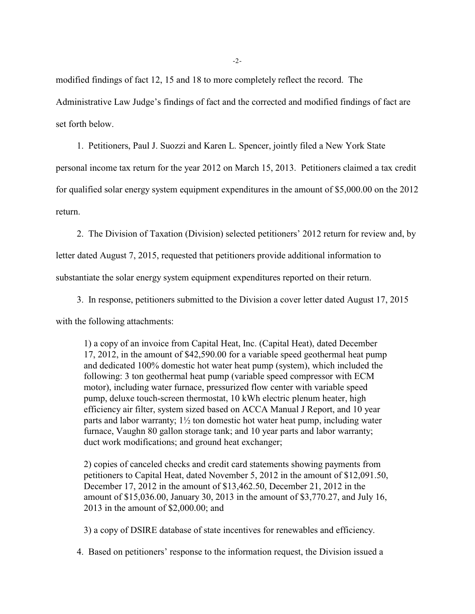modified findings of fact 12, 15 and 18 to more completely reflect the record. The Administrative Law Judge's findings of fact and the corrected and modified findings of fact are set forth below.

1. Petitioners, Paul J. Suozzi and Karen L. Spencer, jointly filed a New York State

personal income tax return for the year 2012 on March 15, 2013. Petitioners claimed a tax credit for qualified solar energy system equipment expenditures in the amount of \$5,000.00 on the 2012 return.

2. The Division of Taxation (Division) selected petitioners' 2012 return for review and, by

letter dated August 7, 2015, requested that petitioners provide additional information to

substantiate the solar energy system equipment expenditures reported on their return.

3. In response, petitioners submitted to the Division a cover letter dated August 17, 2015

with the following attachments:

1) a copy of an invoice from Capital Heat, Inc. (Capital Heat), dated December 17, 2012, in the amount of \$42,590.00 for a variable speed geothermal heat pump and dedicated 100% domestic hot water heat pump (system), which included the following: 3 ton geothermal heat pump (variable speed compressor with ECM motor), including water furnace, pressurized flow center with variable speed pump, deluxe touch-screen thermostat, 10 kWh electric plenum heater, high efficiency air filter, system sized based on ACCA Manual J Report, and 10 year parts and labor warranty; 1½ ton domestic hot water heat pump, including water furnace, Vaughn 80 gallon storage tank; and 10 year parts and labor warranty; duct work modifications; and ground heat exchanger;

2) copies of canceled checks and credit card statements showing payments from petitioners to Capital Heat, dated November 5, 2012 in the amount of \$12,091.50, December 17, 2012 in the amount of \$13,462.50, December 21, 2012 in the amount of \$15,036.00, January 30, 2013 in the amount of \$3,770.27, and July 16, 2013 in the amount of \$2,000.00; and

3) a copy of DSIRE database of state incentives for renewables and efficiency.

4. Based on petitioners' response to the information request, the Division issued a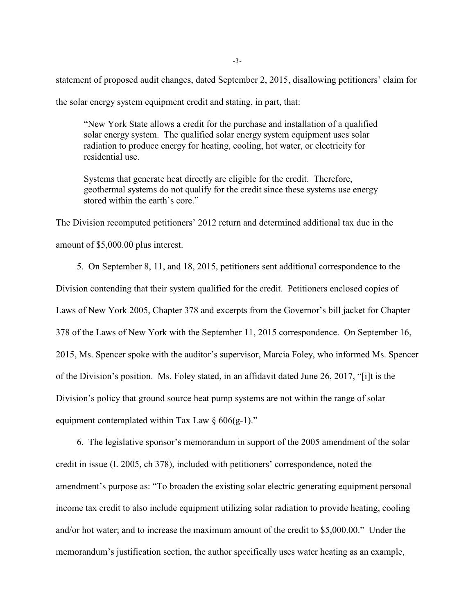statement of proposed audit changes, dated September 2, 2015, disallowing petitioners' claim for

the solar energy system equipment credit and stating, in part, that:

"New York State allows a credit for the purchase and installation of a qualified solar energy system. The qualified solar energy system equipment uses solar radiation to produce energy for heating, cooling, hot water, or electricity for residential use.

Systems that generate heat directly are eligible for the credit. Therefore, geothermal systems do not qualify for the credit since these systems use energy stored within the earth's core."

The Division recomputed petitioners' 2012 return and determined additional tax due in the amount of \$5,000.00 plus interest.

5. On September 8, 11, and 18, 2015, petitioners sent additional correspondence to the Division contending that their system qualified for the credit. Petitioners enclosed copies of Laws of New York 2005, Chapter 378 and excerpts from the Governor's bill jacket for Chapter 378 of the Laws of New York with the September 11, 2015 correspondence. On September 16, 2015, Ms. Spencer spoke with the auditor's supervisor, Marcia Foley, who informed Ms. Spencer of the Division's position. Ms. Foley stated, in an affidavit dated June 26, 2017, "[i]t is the Division's policy that ground source heat pump systems are not within the range of solar equipment contemplated within Tax Law  $\S 606(g-1)$ ."

6. The legislative sponsor's memorandum in support of the 2005 amendment of the solar credit in issue (L 2005, ch 378), included with petitioners' correspondence, noted the amendment's purpose as: "To broaden the existing solar electric generating equipment personal income tax credit to also include equipment utilizing solar radiation to provide heating, cooling and/or hot water; and to increase the maximum amount of the credit to \$5,000.00." Under the memorandum's justification section, the author specifically uses water heating as an example,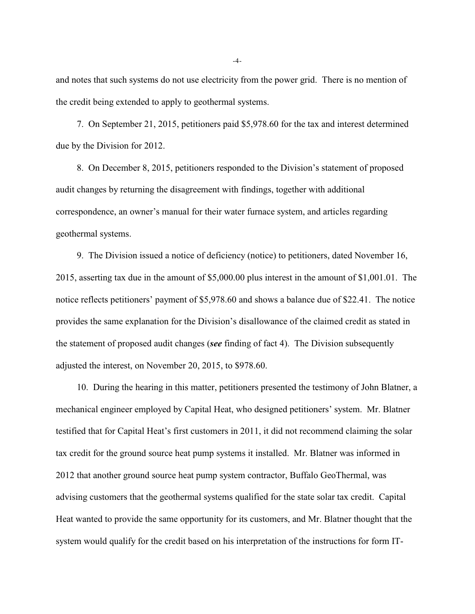and notes that such systems do not use electricity from the power grid. There is no mention of the credit being extended to apply to geothermal systems.

7. On September 21, 2015, petitioners paid \$5,978.60 for the tax and interest determined due by the Division for 2012.

8. On December 8, 2015, petitioners responded to the Division's statement of proposed audit changes by returning the disagreement with findings, together with additional correspondence, an owner's manual for their water furnace system, and articles regarding geothermal systems.

9. The Division issued a notice of deficiency (notice) to petitioners, dated November 16, 2015, asserting tax due in the amount of \$5,000.00 plus interest in the amount of \$1,001.01. The notice reflects petitioners' payment of \$5,978.60 and shows a balance due of \$22.41. The notice provides the same explanation for the Division's disallowance of the claimed credit as stated in the statement of proposed audit changes (*see* finding of fact 4). The Division subsequently adjusted the interest, on November 20, 2015, to \$978.60.

10. During the hearing in this matter, petitioners presented the testimony of John Blatner, a mechanical engineer employed by Capital Heat, who designed petitioners' system. Mr. Blatner testified that for Capital Heat's first customers in 2011, it did not recommend claiming the solar tax credit for the ground source heat pump systems it installed. Mr. Blatner was informed in 2012 that another ground source heat pump system contractor, Buffalo GeoThermal, was advising customers that the geothermal systems qualified for the state solar tax credit. Capital Heat wanted to provide the same opportunity for its customers, and Mr. Blatner thought that the system would qualify for the credit based on his interpretation of the instructions for form IT-

-4-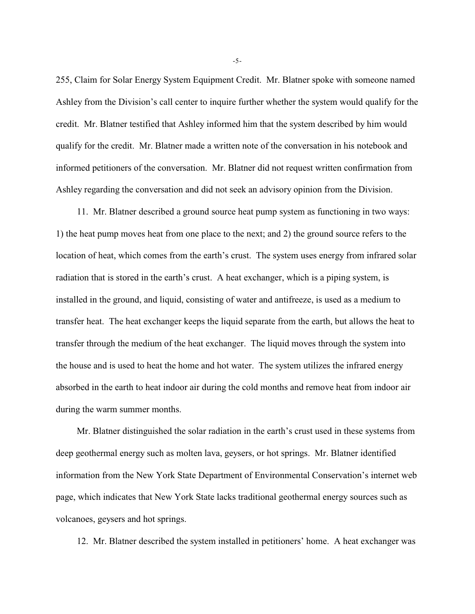255, Claim for Solar Energy System Equipment Credit. Mr. Blatner spoke with someone named Ashley from the Division's call center to inquire further whether the system would qualify for the credit. Mr. Blatner testified that Ashley informed him that the system described by him would qualify for the credit. Mr. Blatner made a written note of the conversation in his notebook and informed petitioners of the conversation. Mr. Blatner did not request written confirmation from Ashley regarding the conversation and did not seek an advisory opinion from the Division.

11. Mr. Blatner described a ground source heat pump system as functioning in two ways: 1) the heat pump moves heat from one place to the next; and 2) the ground source refers to the location of heat, which comes from the earth's crust. The system uses energy from infrared solar radiation that is stored in the earth's crust. A heat exchanger, which is a piping system, is installed in the ground, and liquid, consisting of water and antifreeze, is used as a medium to transfer heat. The heat exchanger keeps the liquid separate from the earth, but allows the heat to transfer through the medium of the heat exchanger. The liquid moves through the system into the house and is used to heat the home and hot water. The system utilizes the infrared energy absorbed in the earth to heat indoor air during the cold months and remove heat from indoor air during the warm summer months.

Mr. Blatner distinguished the solar radiation in the earth's crust used in these systems from deep geothermal energy such as molten lava, geysers, or hot springs. Mr. Blatner identified information from the New York State Department of Environmental Conservation's internet web page, which indicates that New York State lacks traditional geothermal energy sources such as volcanoes, geysers and hot springs.

12. Mr. Blatner described the system installed in petitioners' home. A heat exchanger was

-5-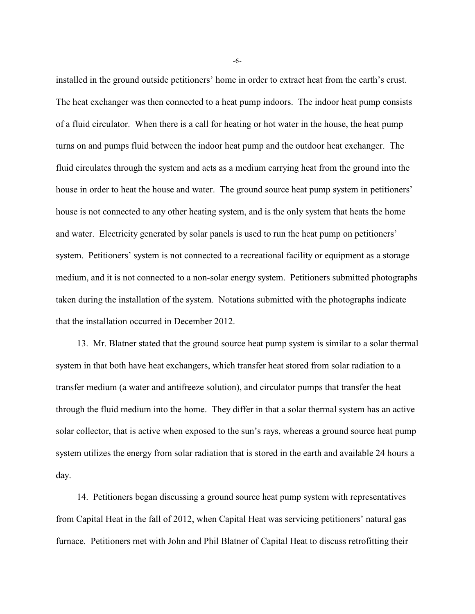installed in the ground outside petitioners' home in order to extract heat from the earth's crust. The heat exchanger was then connected to a heat pump indoors. The indoor heat pump consists of a fluid circulator. When there is a call for heating or hot water in the house, the heat pump turns on and pumps fluid between the indoor heat pump and the outdoor heat exchanger. The fluid circulates through the system and acts as a medium carrying heat from the ground into the house in order to heat the house and water. The ground source heat pump system in petitioners' house is not connected to any other heating system, and is the only system that heats the home and water. Electricity generated by solar panels is used to run the heat pump on petitioners' system. Petitioners' system is not connected to a recreational facility or equipment as a storage medium, and it is not connected to a non-solar energy system. Petitioners submitted photographs taken during the installation of the system. Notations submitted with the photographs indicate that the installation occurred in December 2012.

13. Mr. Blatner stated that the ground source heat pump system is similar to a solar thermal system in that both have heat exchangers, which transfer heat stored from solar radiation to a transfer medium (a water and antifreeze solution), and circulator pumps that transfer the heat through the fluid medium into the home. They differ in that a solar thermal system has an active solar collector, that is active when exposed to the sun's rays, whereas a ground source heat pump system utilizes the energy from solar radiation that is stored in the earth and available 24 hours a day.

14. Petitioners began discussing a ground source heat pump system with representatives from Capital Heat in the fall of 2012, when Capital Heat was servicing petitioners' natural gas furnace. Petitioners met with John and Phil Blatner of Capital Heat to discuss retrofitting their

-6-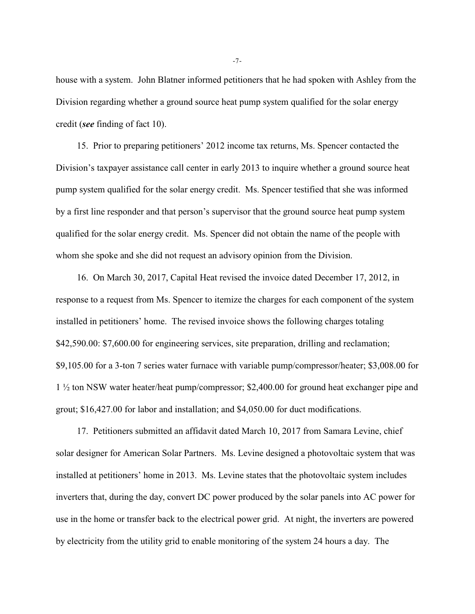house with a system. John Blatner informed petitioners that he had spoken with Ashley from the Division regarding whether a ground source heat pump system qualified for the solar energy credit (*see* finding of fact 10).

15. Prior to preparing petitioners' 2012 income tax returns, Ms. Spencer contacted the Division's taxpayer assistance call center in early 2013 to inquire whether a ground source heat pump system qualified for the solar energy credit. Ms. Spencer testified that she was informed by a first line responder and that person's supervisor that the ground source heat pump system qualified for the solar energy credit. Ms. Spencer did not obtain the name of the people with whom she spoke and she did not request an advisory opinion from the Division.

16. On March 30, 2017, Capital Heat revised the invoice dated December 17, 2012, in response to a request from Ms. Spencer to itemize the charges for each component of the system installed in petitioners' home. The revised invoice shows the following charges totaling \$42,590.00: \$7,600.00 for engineering services, site preparation, drilling and reclamation; \$9,105.00 for a 3-ton 7 series water furnace with variable pump/compressor/heater; \$3,008.00 for 1 ½ ton NSW water heater/heat pump/compressor; \$2,400.00 for ground heat exchanger pipe and grout; \$16,427.00 for labor and installation; and \$4,050.00 for duct modifications.

17. Petitioners submitted an affidavit dated March 10, 2017 from Samara Levine, chief solar designer for American Solar Partners. Ms. Levine designed a photovoltaic system that was installed at petitioners' home in 2013. Ms. Levine states that the photovoltaic system includes inverters that, during the day, convert DC power produced by the solar panels into AC power for use in the home or transfer back to the electrical power grid. At night, the inverters are powered by electricity from the utility grid to enable monitoring of the system 24 hours a day. The

-7-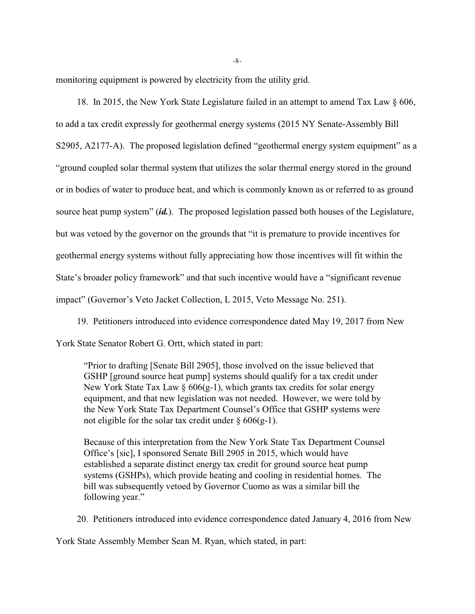monitoring equipment is powered by electricity from the utility grid.

18. In 2015, the New York State Legislature failed in an attempt to amend Tax Law § 606, to add a tax credit expressly for geothermal energy systems (2015 NY Senate-Assembly Bill S2905, A2177-A). The proposed legislation defined "geothermal energy system equipment" as a "ground coupled solar thermal system that utilizes the solar thermal energy stored in the ground or in bodies of water to produce heat, and which is commonly known as or referred to as ground source heat pump system" (*id.*). The proposed legislation passed both houses of the Legislature, but was vetoed by the governor on the grounds that "it is premature to provide incentives for geothermal energy systems without fully appreciating how those incentives will fit within the State's broader policy framework" and that such incentive would have a "significant revenue impact" (Governor's Veto Jacket Collection, L 2015, Veto Message No. 251).

19. Petitioners introduced into evidence correspondence dated May 19, 2017 from New York State Senator Robert G. Ortt, which stated in part:

"Prior to drafting [Senate Bill 2905], those involved on the issue believed that GSHP [ground source heat pump] systems should qualify for a tax credit under New York State Tax Law  $\S 606(g-1)$ , which grants tax credits for solar energy equipment, and that new legislation was not needed. However, we were told by the New York State Tax Department Counsel's Office that GSHP systems were not eligible for the solar tax credit under  $\S 606(g-1)$ .

Because of this interpretation from the New York State Tax Department Counsel Office's [sic], I sponsored Senate Bill 2905 in 2015, which would have established a separate distinct energy tax credit for ground source heat pump systems (GSHPs), which provide heating and cooling in residential homes. The bill was subsequently vetoed by Governor Cuomo as was a similar bill the following year."

20. Petitioners introduced into evidence correspondence dated January 4, 2016 from New

York State Assembly Member Sean M. Ryan, which stated, in part: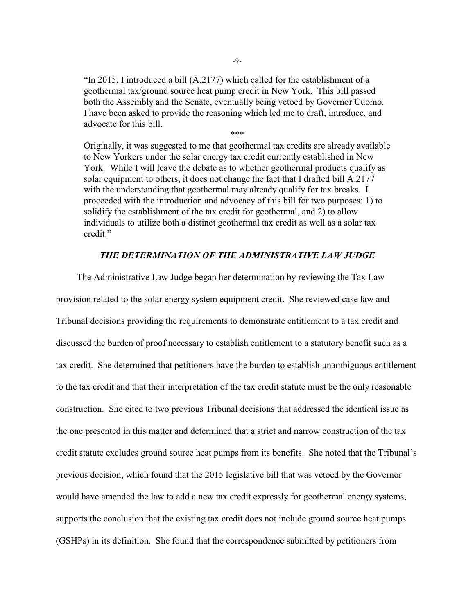"In 2015, I introduced a bill (A.2177) which called for the establishment of a geothermal tax/ground source heat pump credit in New York. This bill passed both the Assembly and the Senate, eventually being vetoed by Governor Cuomo. I have been asked to provide the reasoning which led me to draft, introduce, and advocate for this bill.

\*\*\*

Originally, it was suggested to me that geothermal tax credits are already available to New Yorkers under the solar energy tax credit currently established in New York. While I will leave the debate as to whether geothermal products qualify as solar equipment to others, it does not change the fact that I drafted bill A.2177 with the understanding that geothermal may already qualify for tax breaks. I proceeded with the introduction and advocacy of this bill for two purposes: 1) to solidify the establishment of the tax credit for geothermal, and 2) to allow individuals to utilize both a distinct geothermal tax credit as well as a solar tax credit."

## *THE DETERMINATION OF THE ADMINISTRATIVE LAW JUDGE*

The Administrative Law Judge began her determination by reviewing the Tax Law provision related to the solar energy system equipment credit. She reviewed case law and Tribunal decisions providing the requirements to demonstrate entitlement to a tax credit and discussed the burden of proof necessary to establish entitlement to a statutory benefit such as a tax credit. She determined that petitioners have the burden to establish unambiguous entitlement to the tax credit and that their interpretation of the tax credit statute must be the only reasonable construction. She cited to two previous Tribunal decisions that addressed the identical issue as the one presented in this matter and determined that a strict and narrow construction of the tax credit statute excludes ground source heat pumps from its benefits. She noted that the Tribunal's previous decision, which found that the 2015 legislative bill that was vetoed by the Governor would have amended the law to add a new tax credit expressly for geothermal energy systems, supports the conclusion that the existing tax credit does not include ground source heat pumps (GSHPs) in its definition. She found that the correspondence submitted by petitioners from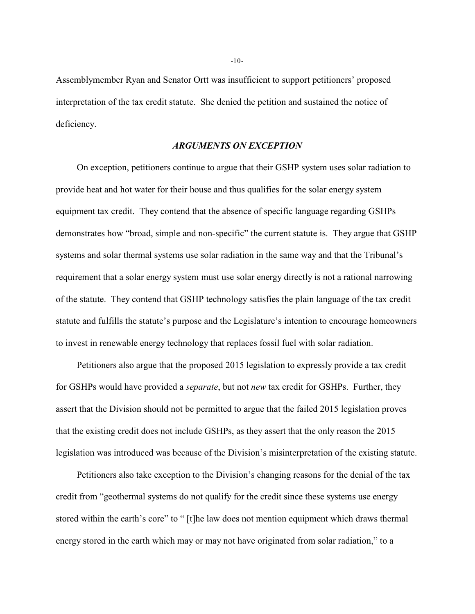Assemblymember Ryan and Senator Ortt was insufficient to support petitioners' proposed interpretation of the tax credit statute. She denied the petition and sustained the notice of deficiency.

## *ARGUMENTS ON EXCEPTION*

On exception, petitioners continue to argue that their GSHP system uses solar radiation to provide heat and hot water for their house and thus qualifies for the solar energy system equipment tax credit. They contend that the absence of specific language regarding GSHPs demonstrates how "broad, simple and non-specific" the current statute is. They argue that GSHP systems and solar thermal systems use solar radiation in the same way and that the Tribunal's requirement that a solar energy system must use solar energy directly is not a rational narrowing of the statute. They contend that GSHP technology satisfies the plain language of the tax credit statute and fulfills the statute's purpose and the Legislature's intention to encourage homeowners to invest in renewable energy technology that replaces fossil fuel with solar radiation.

Petitioners also argue that the proposed 2015 legislation to expressly provide a tax credit for GSHPs would have provided a *separate*, but not *new* tax credit for GSHPs. Further, they assert that the Division should not be permitted to argue that the failed 2015 legislation proves that the existing credit does not include GSHPs, as they assert that the only reason the 2015 legislation was introduced was because of the Division's misinterpretation of the existing statute.

Petitioners also take exception to the Division's changing reasons for the denial of the tax credit from "geothermal systems do not qualify for the credit since these systems use energy stored within the earth's core" to " [t]he law does not mention equipment which draws thermal energy stored in the earth which may or may not have originated from solar radiation," to a

-10-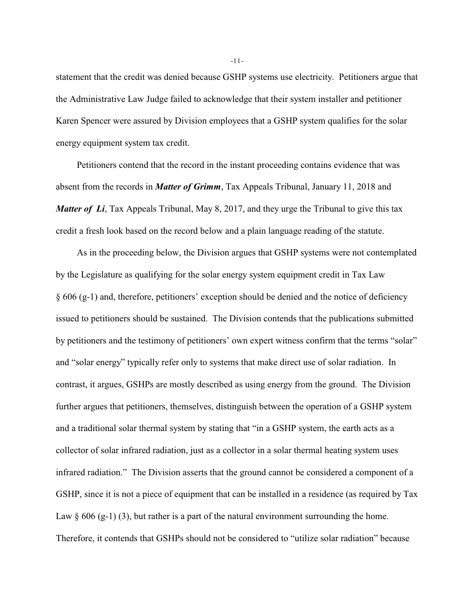statement that the credit was denied because GSHP systems use electricity. Petitioners argue that the Administrative Law Judge failed to acknowledge that their system installer and petitioner Karen Spencer were assured by Division employees that a GSHP system qualifies for the solar energy equipment system tax credit.

Petitioners contend that the record in the instant proceeding contains evidence that was absent from the records in *Matter of Grimm*, Tax Appeals Tribunal, January 11, 2018 and *Matter of Li*, Tax Appeals Tribunal, May 8, 2017, and they urge the Tribunal to give this tax credit a fresh look based on the record below and a plain language reading of the statute.

As in the proceeding below, the Division argues that GSHP systems were not contemplated by the Legislature as qualifying for the solar energy system equipment credit in Tax Law § 606 (g-1) and, therefore, petitioners' exception should be denied and the notice of deficiency issued to petitioners should be sustained. The Division contends that the publications submitted by petitioners and the testimony of petitioners' own expert witness confirm that the terms "solar" and "solar energy" typically refer only to systems that make direct use of solar radiation. In contrast, it argues, GSHPs are mostly described as using energy from the ground. The Division further argues that petitioners, themselves, distinguish between the operation of a GSHP system and a traditional solar thermal system by stating that "in a GSHP system, the earth acts as a collector of solar infrared radiation, just as a collector in a solar thermal heating system uses infrared radiation." The Division asserts that the ground cannot be considered a component of a GSHP, since it is not a piece of equipment that can be installed in a residence (as required by Tax Law  $\S 606$  (g-1) (3), but rather is a part of the natural environment surrounding the home. Therefore, it contends that GSHPs should not be considered to "utilize solar radiation" because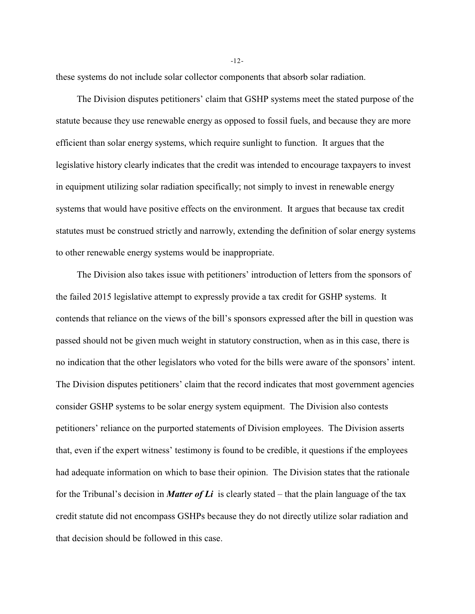these systems do not include solar collector components that absorb solar radiation.

The Division disputes petitioners' claim that GSHP systems meet the stated purpose of the statute because they use renewable energy as opposed to fossil fuels, and because they are more efficient than solar energy systems, which require sunlight to function. It argues that the legislative history clearly indicates that the credit was intended to encourage taxpayers to invest in equipment utilizing solar radiation specifically; not simply to invest in renewable energy systems that would have positive effects on the environment. It argues that because tax credit statutes must be construed strictly and narrowly, extending the definition of solar energy systems to other renewable energy systems would be inappropriate.

The Division also takes issue with petitioners' introduction of letters from the sponsors of the failed 2015 legislative attempt to expressly provide a tax credit for GSHP systems. It contends that reliance on the views of the bill's sponsors expressed after the bill in question was passed should not be given much weight in statutory construction, when as in this case, there is no indication that the other legislators who voted for the bills were aware of the sponsors' intent. The Division disputes petitioners' claim that the record indicates that most government agencies consider GSHP systems to be solar energy system equipment. The Division also contests petitioners' reliance on the purported statements of Division employees. The Division asserts that, even if the expert witness' testimony is found to be credible, it questions if the employees had adequate information on which to base their opinion. The Division states that the rationale for the Tribunal's decision in *Matter of Li* is clearly stated – that the plain language of the tax credit statute did not encompass GSHPs because they do not directly utilize solar radiation and that decision should be followed in this case.

-12-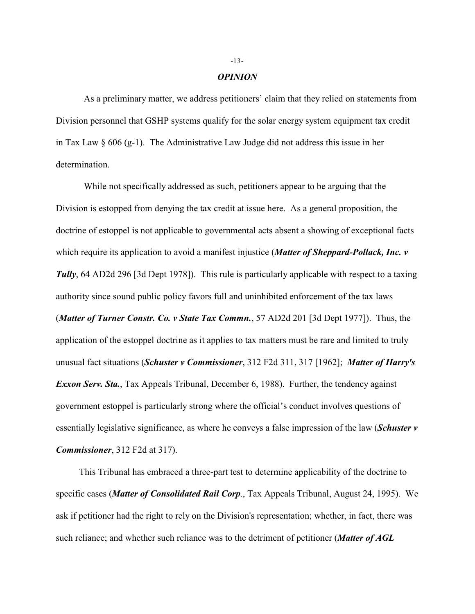#### *OPINION*

As a preliminary matter, we address petitioners' claim that they relied on statements from Division personnel that GSHP systems qualify for the solar energy system equipment tax credit in Tax Law § 606 (g-1). The Administrative Law Judge did not address this issue in her determination.

While not specifically addressed as such, petitioners appear to be arguing that the Division is estopped from denying the tax credit at issue here. As a general proposition, the doctrine of estoppel is not applicable to governmental acts absent a showing of exceptional facts which require its application to avoid a manifest injustice (*Matter of Sheppard-Pollack, Inc. v Tully*, 64 AD2d 296 [3d Dept 1978]). This rule is particularly applicable with respect to a taxing authority since sound public policy favors full and uninhibited enforcement of the tax laws (*Matter of Turner Constr. Co. v State Tax Commn.*, 57 AD2d 201 [3d Dept 1977]). Thus, the application of the estoppel doctrine as it applies to tax matters must be rare and limited to truly unusual fact situations (*Schuster v Commissioner*, 312 F2d 311, 317 [1962]; *Matter of Harry's Exxon Serv. Sta.*, Tax Appeals Tribunal, December 6, 1988). Further, the tendency against government estoppel is particularly strong where the official's conduct involves questions of essentially legislative significance, as where he conveys a false impression of the law (*Schuster v Commissioner*, 312 F2d at 317).

This Tribunal has embraced a three-part test to determine applicability of the doctrine to specific cases (*Matter of Consolidated Rail Corp*., Tax Appeals Tribunal, August 24, 1995). We ask if petitioner had the right to rely on the Division's representation; whether, in fact, there was such reliance; and whether such reliance was to the detriment of petitioner (*Matter of AGL*

#### -13-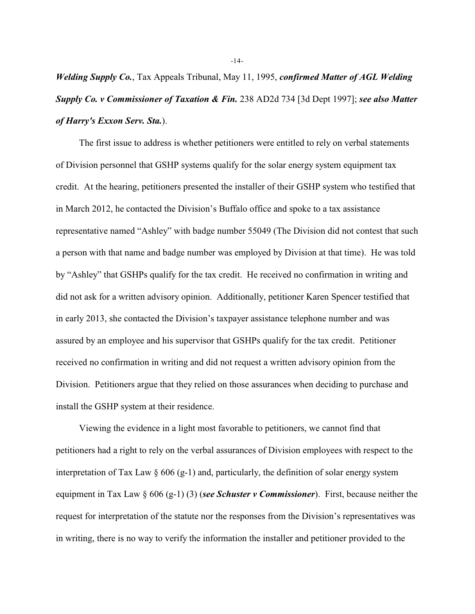*Welding Supply Co.*, Tax Appeals Tribunal, May 11, 1995, *confirmed Matter of AGL Welding Supply Co. v Commissioner of Taxation & Fin.* 238 AD2d 734 [3d Dept 1997]; *see also Matter of Harry's Exxon Serv. Sta.*).

The first issue to address is whether petitioners were entitled to rely on verbal statements of Division personnel that GSHP systems qualify for the solar energy system equipment tax credit. At the hearing, petitioners presented the installer of their GSHP system who testified that in March 2012, he contacted the Division's Buffalo office and spoke to a tax assistance representative named "Ashley" with badge number 55049 (The Division did not contest that such a person with that name and badge number was employed by Division at that time). He was told by "Ashley" that GSHPs qualify for the tax credit. He received no confirmation in writing and did not ask for a written advisory opinion. Additionally, petitioner Karen Spencer testified that in early 2013, she contacted the Division's taxpayer assistance telephone number and was assured by an employee and his supervisor that GSHPs qualify for the tax credit. Petitioner received no confirmation in writing and did not request a written advisory opinion from the Division. Petitioners argue that they relied on those assurances when deciding to purchase and install the GSHP system at their residence.

Viewing the evidence in a light most favorable to petitioners, we cannot find that petitioners had a right to rely on the verbal assurances of Division employees with respect to the interpretation of Tax Law  $\S$  606 (g-1) and, particularly, the definition of solar energy system equipment in Tax Law § 606 (g-1) (3) (*see Schuster v Commissioner*). First, because neither the request for interpretation of the statute nor the responses from the Division's representatives was in writing, there is no way to verify the information the installer and petitioner provided to the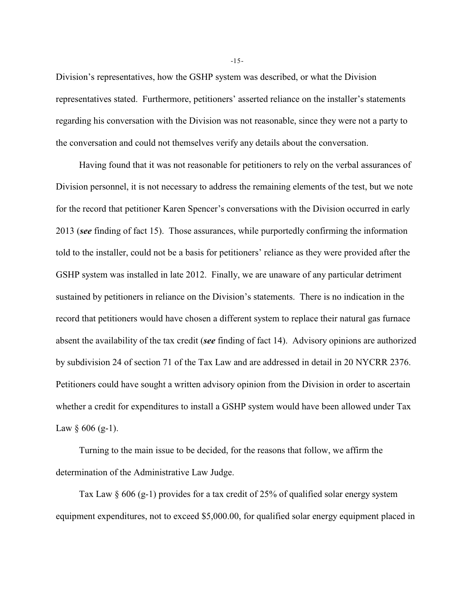Division's representatives, how the GSHP system was described, or what the Division representatives stated. Furthermore, petitioners' asserted reliance on the installer's statements regarding his conversation with the Division was not reasonable, since they were not a party to the conversation and could not themselves verify any details about the conversation.

Having found that it was not reasonable for petitioners to rely on the verbal assurances of Division personnel, it is not necessary to address the remaining elements of the test, but we note for the record that petitioner Karen Spencer's conversations with the Division occurred in early 2013 (*see* finding of fact 15). Those assurances, while purportedly confirming the information told to the installer, could not be a basis for petitioners' reliance as they were provided after the GSHP system was installed in late 2012. Finally, we are unaware of any particular detriment sustained by petitioners in reliance on the Division's statements. There is no indication in the record that petitioners would have chosen a different system to replace their natural gas furnace absent the availability of the tax credit (*see* finding of fact 14). Advisory opinions are authorized by subdivision 24 of section 71 of the Tax Law and are addressed in detail in 20 NYCRR 2376. Petitioners could have sought a written advisory opinion from the Division in order to ascertain whether a credit for expenditures to install a GSHP system would have been allowed under Tax Law  $§$  606 (g-1).

Turning to the main issue to be decided, for the reasons that follow, we affirm the determination of the Administrative Law Judge.

Tax Law  $\S$  606 (g-1) provides for a tax credit of 25% of qualified solar energy system equipment expenditures, not to exceed \$5,000.00, for qualified solar energy equipment placed in

-15-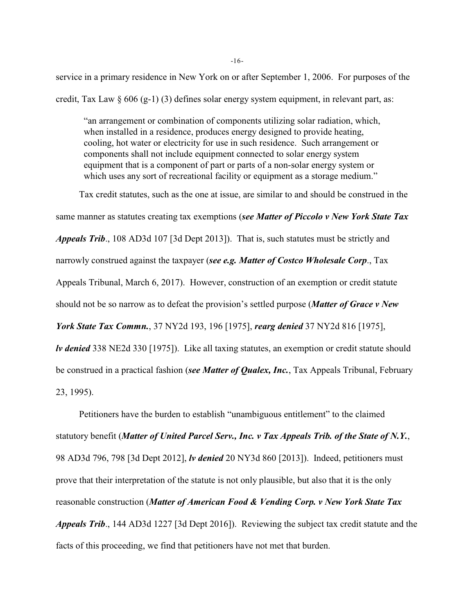service in a primary residence in New York on or after September 1, 2006. For purposes of the credit, Tax Law  $\S 606 (g-1) (3)$  defines solar energy system equipment, in relevant part, as:

"an arrangement or combination of components utilizing solar radiation, which, when installed in a residence, produces energy designed to provide heating, cooling, hot water or electricity for use in such residence. Such arrangement or components shall not include equipment connected to solar energy system equipment that is a component of part or parts of a non-solar energy system or which uses any sort of recreational facility or equipment as a storage medium."

Tax credit statutes, such as the one at issue, are similar to and should be construed in the same manner as statutes creating tax exemptions (*see Matter of Piccolo v New York State Tax Appeals Trib*., 108 AD3d 107 [3d Dept 2013]). That is, such statutes must be strictly and narrowly construed against the taxpayer (*see e.g. Matter of Costco Wholesale Corp*., Tax Appeals Tribunal, March 6, 2017). However, construction of an exemption or credit statute should not be so narrow as to defeat the provision's settled purpose (*Matter of Grace v New York State Tax Commn.*, 37 NY2d 193, 196 [1975], *rearg denied* 37 NY2d 816 [1975], *lv denied* 338 NE2d 330 [1975]). Like all taxing statutes, an exemption or credit statute should be construed in a practical fashion (*see Matter of Qualex, Inc.*, Tax Appeals Tribunal, February 23, 1995).

Petitioners have the burden to establish "unambiguous entitlement" to the claimed statutory benefit (*Matter of United Parcel Serv., Inc. v Tax Appeals Trib. of the State of N.Y.*, 98 AD3d 796, 798 [3d Dept 2012], *lv denied* 20 NY3d 860 [2013]). Indeed, petitioners must prove that their interpretation of the statute is not only plausible, but also that it is the only reasonable construction (*Matter of American Food & Vending Corp. v New York State Tax Appeals Trib*., 144 AD3d 1227 [3d Dept 2016]). Reviewing the subject tax credit statute and the facts of this proceeding, we find that petitioners have not met that burden.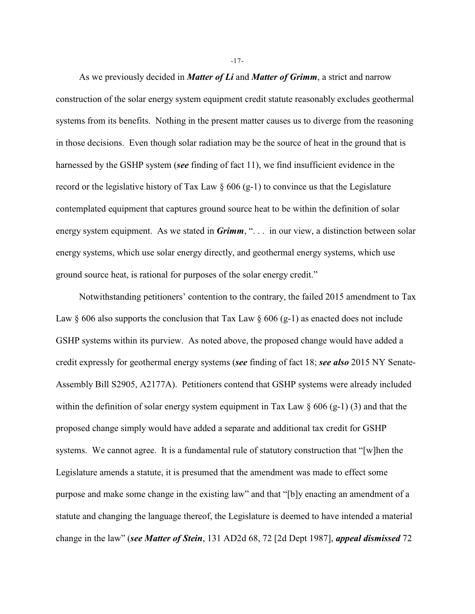As we previously decided in *Matter of Li* and *Matter of Grimm*, a strict and narrow construction of the solar energy system equipment credit statute reasonably excludes geothermal systems from its benefits. Nothing in the present matter causes us to diverge from the reasoning in those decisions. Even though solar radiation may be the source of heat in the ground that is harnessed by the GSHP system (*see* finding of fact 11), we find insufficient evidence in the record or the legislative history of Tax Law  $\S 606 (g-1)$  to convince us that the Legislature contemplated equipment that captures ground source heat to be within the definition of solar energy system equipment. As we stated in *Grimm*, "... in our view, a distinction between solar energy systems, which use solar energy directly, and geothermal energy systems, which use ground source heat, is rational for purposes of the solar energy credit."

Notwithstanding petitioners' contention to the contrary, the failed 2015 amendment to Tax Law  $\S$  606 also supports the conclusion that Tax Law  $\S$  606 (g-1) as enacted does not include GSHP systems within its purview. As noted above, the proposed change would have added a credit expressly for geothermal energy systems (*see* finding of fact 18; *see also* 2015 NY Senate-Assembly Bill S2905, A2177A). Petitioners contend that GSHP systems were already included within the definition of solar energy system equipment in Tax Law  $\S 606 (g-1) (3)$  and that the proposed change simply would have added a separate and additional tax credit for GSHP systems. We cannot agree. It is a fundamental rule of statutory construction that "[w]hen the Legislature amends a statute, it is presumed that the amendment was made to effect some purpose and make some change in the existing law" and that "[b]y enacting an amendment of a statute and changing the language thereof, the Legislature is deemed to have intended a material change in the law" (*see Matter of Stein*, 131 AD2d 68, 72 [2d Dept 1987], *appeal dismissed* 72

-17-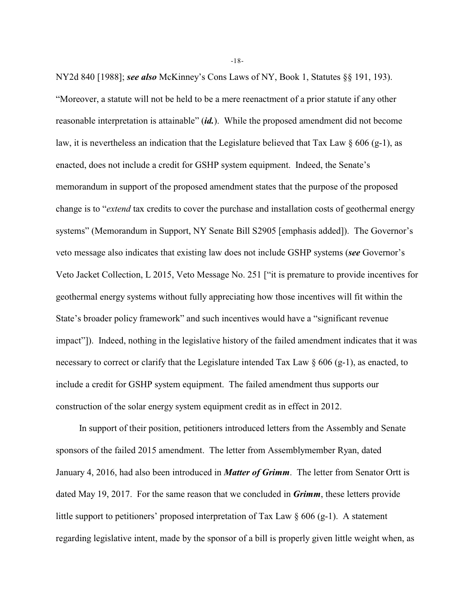NY2d 840 [1988]; *see also* McKinney's Cons Laws of NY, Book 1, Statutes §§ 191, 193). "Moreover, a statute will not be held to be a mere reenactment of a prior statute if any other reasonable interpretation is attainable" (*id.*). While the proposed amendment did not become law, it is nevertheless an indication that the Legislature believed that Tax Law  $\S$  606 (g-1), as enacted, does not include a credit for GSHP system equipment. Indeed, the Senate's memorandum in support of the proposed amendment states that the purpose of the proposed change is to "*extend* tax credits to cover the purchase and installation costs of geothermal energy systems" (Memorandum in Support, NY Senate Bill S2905 [emphasis added]). The Governor's veto message also indicates that existing law does not include GSHP systems (*see* Governor's Veto Jacket Collection, L 2015, Veto Message No. 251 ["it is premature to provide incentives for geothermal energy systems without fully appreciating how those incentives will fit within the State's broader policy framework" and such incentives would have a "significant revenue impact"]). Indeed, nothing in the legislative history of the failed amendment indicates that it was necessary to correct or clarify that the Legislature intended Tax Law  $\S 606 (g-1)$ , as enacted, to include a credit for GSHP system equipment. The failed amendment thus supports our construction of the solar energy system equipment credit as in effect in 2012.

In support of their position, petitioners introduced letters from the Assembly and Senate sponsors of the failed 2015 amendment. The letter from Assemblymember Ryan, dated January 4, 2016, had also been introduced in *Matter of Grimm*. The letter from Senator Ortt is dated May 19, 2017. For the same reason that we concluded in *Grimm*, these letters provide little support to petitioners' proposed interpretation of Tax Law  $\S$  606 (g-1). A statement regarding legislative intent, made by the sponsor of a bill is properly given little weight when, as

-18-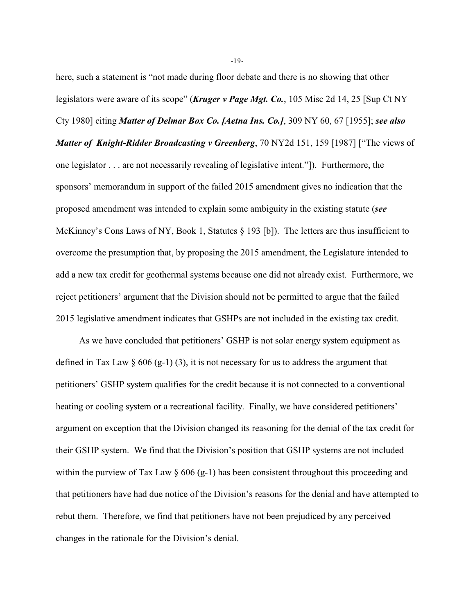here, such a statement is "not made during floor debate and there is no showing that other legislators were aware of its scope" (*Kruger v Page Mgt. Co.*, 105 Misc 2d 14, 25 [Sup Ct NY Cty 1980] citing *Matter of Delmar Box Co. [Aetna Ins. Co.]*, 309 NY 60, 67 [1955]; *see also Matter of Knight-Ridder Broadcasting v Greenberg*, 70 NY2d 151, 159 [1987] ["The views of one legislator . . . are not necessarily revealing of legislative intent."]). Furthermore, the sponsors' memorandum in support of the failed 2015 amendment gives no indication that the proposed amendment was intended to explain some ambiguity in the existing statute (*see* McKinney's Cons Laws of NY, Book 1, Statutes  $\S 193$  [b]). The letters are thus insufficient to overcome the presumption that, by proposing the 2015 amendment, the Legislature intended to add a new tax credit for geothermal systems because one did not already exist. Furthermore, we reject petitioners' argument that the Division should not be permitted to argue that the failed 2015 legislative amendment indicates that GSHPs are not included in the existing tax credit.

As we have concluded that petitioners' GSHP is not solar energy system equipment as defined in Tax Law  $\S$  606 (g-1) (3), it is not necessary for us to address the argument that petitioners' GSHP system qualifies for the credit because it is not connected to a conventional heating or cooling system or a recreational facility. Finally, we have considered petitioners' argument on exception that the Division changed its reasoning for the denial of the tax credit for their GSHP system. We find that the Division's position that GSHP systems are not included within the purview of Tax Law  $\S$  606 (g-1) has been consistent throughout this proceeding and that petitioners have had due notice of the Division's reasons for the denial and have attempted to rebut them. Therefore, we find that petitioners have not been prejudiced by any perceived changes in the rationale for the Division's denial.

-19-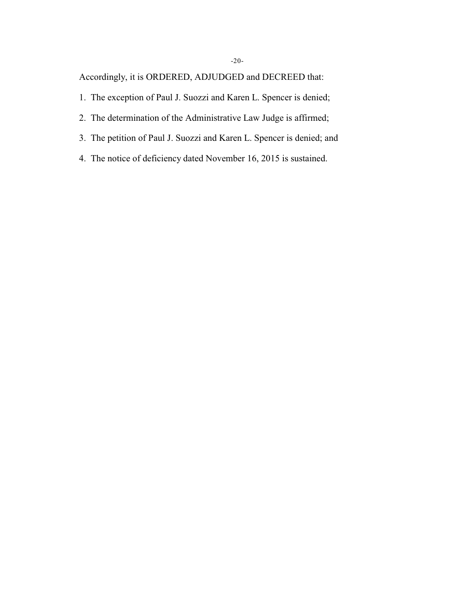Accordingly, it is ORDERED, ADJUDGED and DECREED that:

- 1. The exception of Paul J. Suozzi and Karen L. Spencer is denied;
- 2. The determination of the Administrative Law Judge is affirmed;
- 3. The petition of Paul J. Suozzi and Karen L. Spencer is denied; and
- 4. The notice of deficiency dated November 16, 2015 is sustained.